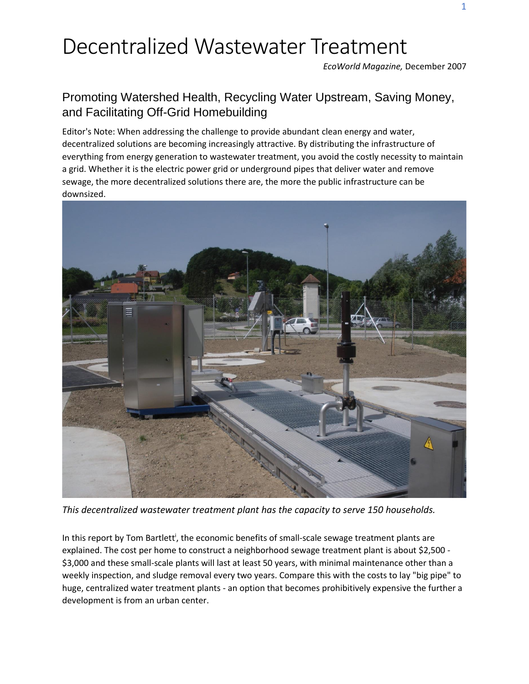*EcoWorld Magazine,* December 2007

### Promoting Watershed Health, Recycling Water Upstream, Saving Money, and Facilitating Off-Grid Homebuilding

Editor's Note: When addressing the challenge to provide abundant clean energy and water, decentralized solutions are becoming increasingly attractive. By distributing the infrastructure of everything from energy generation to wastewater treatment, you avoid the costly necessity to maintain a grid. Whether it is the electric power grid or underground pipes that deliver water and remove sewage, the more decentralized solutions there are, the more the public infrastructure can be downsized.



*This decentralized wastewater treatment plant has the capacity to serve 150 households.*

In this report by Tom Bartlett<sup>i</sup>, the economic benefits of small-scale sewage treatment plants are explained. The cost per home to construct a neighborhood sewage treatment plant is about \$2,500 - \$3,000 and these small-scale plants will last at least 50 years, with minimal maintenance other than a weekly inspection, and sludge removal every two years. Compare this with the costs to lay "big pipe" to huge, centralized water treatment plants - an option that becomes prohibitively expensive the further a development is from an urban center.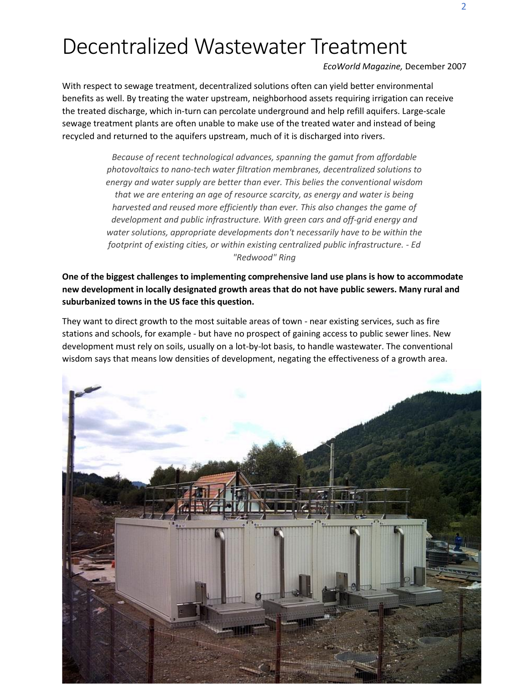*EcoWorld Magazine,* December 2007

With respect to sewage treatment, decentralized solutions often can yield better environmental benefits as well. By treating the water upstream, neighborhood assets requiring irrigation can receive the treated discharge, which in-turn can percolate underground and help refill aquifers. Large-scale sewage treatment plants are often unable to make use of the treated water and instead of being recycled and returned to the aquifers upstream, much of it is discharged into rivers.

> *Because of recent technological advances, spanning the gamut from affordable photovoltaics to nano-tech water filtration membranes, decentralized solutions to energy and water supply are better than ever. This belies the conventional wisdom that we are entering an age of resource scarcity, as energy and water is being harvested and reused more efficiently than ever. This also changes the game of development and public infrastructure. With green cars and off-grid energy and water solutions, appropriate developments don't necessarily have to be within the footprint of existing cities, or within existing centralized public infrastructure. - Ed "Redwood" Ring*

**One of the biggest challenges to implementing comprehensive land use plans is how to accommodate new development in locally designated growth areas that do not have public sewers. Many rural and suburbanized towns in the US face this question.** 

They want to direct growth to the most suitable areas of town - near existing services, such as fire stations and schools, for example - but have no prospect of gaining access to public sewer lines. New development must rely on soils, usually on a lot-by-lot basis, to handle wastewater. The conventional wisdom says that means low densities of development, negating the effectiveness of a growth area.

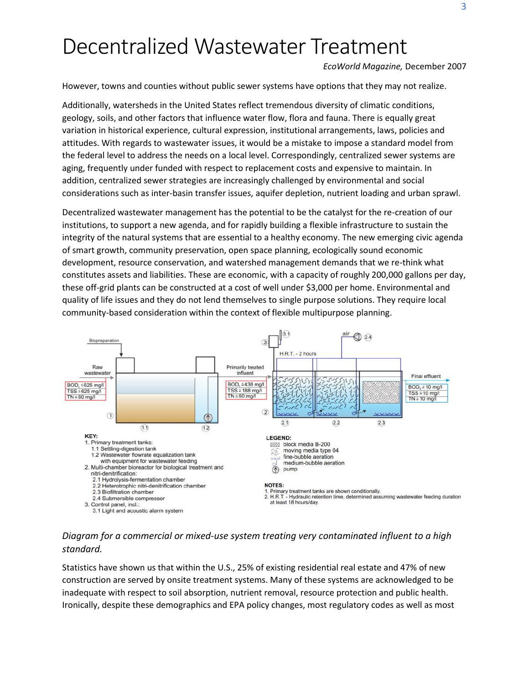*EcoWorld Magazine,* December 2007

However, towns and counties without public sewer systems have options that they may not realize.

Additionally, watersheds in the United States reflect tremendous diversity of climatic conditions, geology, soils, and other factors that influence water flow, flora and fauna. There is equally great variation in historical experience, cultural expression, institutional arrangements, laws, policies and attitudes. With regards to wastewater issues, it would be a mistake to impose a standard model from the federal level to address the needs on a local level. Correspondingly, centralized sewer systems are aging, frequently under funded with respect to replacement costs and expensive to maintain. In addition, centralized sewer strategies are increasingly challenged by environmental and social considerations such as inter-basin transfer issues, aquifer depletion, nutrient loading and urban sprawl.

Decentralized wastewater management has the potential to be the catalyst for the re-creation of our institutions, to support a new agenda, and for rapidly building a flexible infrastructure to sustain the integrity of the natural systems that are essential to a healthy economy. The new emerging civic agenda of smart growth, community preservation, open space planning, ecologically sound economic development, resource conservation, and watershed management demands that we re-think what constitutes assets and liabilities. These are economic, with a capacity of roughly 200,000 gallons per day, these off-grid plants can be constructed at a cost of well under \$3,000 per home. Environmental and quality of life issues and they do not lend themselves to single purpose solutions. They require local community-based consideration within the context of flexible multipurpose planning.



#### *Diagram for a commercial or mixed-use system treating very contaminated influent to a high standard.*

Statistics have shown us that within the U.S., 25% of existing residential real estate and 47% of new construction are served by onsite treatment systems. Many of these systems are acknowledged to be inadequate with respect to soil absorption, nutrient removal, resource protection and public health. Ironically, despite these demographics and EPA policy changes, most regulatory codes as well as most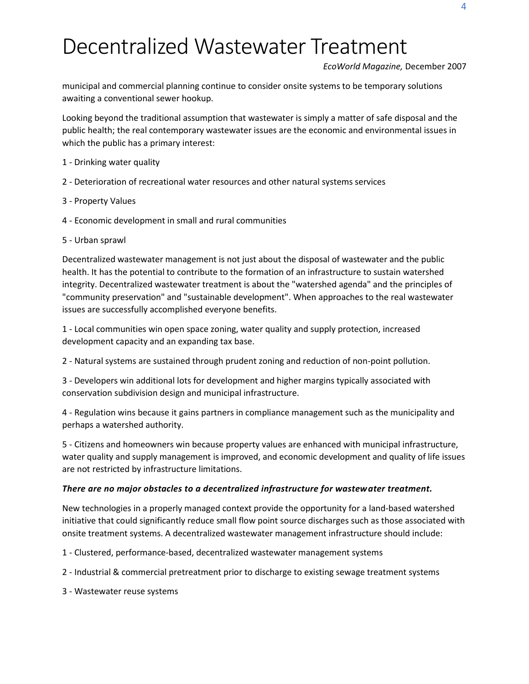*EcoWorld Magazine,* December 2007

municipal and commercial planning continue to consider onsite systems to be temporary solutions awaiting a conventional sewer hookup.

Looking beyond the traditional assumption that wastewater is simply a matter of safe disposal and the public health; the real contemporary wastewater issues are the economic and environmental issues in which the public has a primary interest:

- 1 Drinking water quality
- 2 Deterioration of recreational water resources and other natural systems services
- 3 Property Values
- 4 Economic development in small and rural communities
- 5 Urban sprawl

Decentralized wastewater management is not just about the disposal of wastewater and the public health. It has the potential to contribute to the formation of an infrastructure to sustain watershed integrity. Decentralized wastewater treatment is about the "watershed agenda" and the principles of "community preservation" and "sustainable development". When approaches to the real wastewater issues are successfully accomplished everyone benefits.

1 - Local communities win open space zoning, water quality and supply protection, increased development capacity and an expanding tax base.

2 - Natural systems are sustained through prudent zoning and reduction of non-point pollution.

3 - Developers win additional lots for development and higher margins typically associated with conservation subdivision design and municipal infrastructure.

4 - Regulation wins because it gains partners in compliance management such as the municipality and perhaps a watershed authority.

5 - Citizens and homeowners win because property values are enhanced with municipal infrastructure, water quality and supply management is improved, and economic development and quality of life issues are not restricted by infrastructure limitations.

#### *There are no major obstacles to a decentralized infrastructure for wastewater treatment.*

New technologies in a properly managed context provide the opportunity for a land-based watershed initiative that could significantly reduce small flow point source discharges such as those associated with onsite treatment systems. A decentralized wastewater management infrastructure should include:

1 - Clustered, performance-based, decentralized wastewater management systems

2 - Industrial & commercial pretreatment prior to discharge to existing sewage treatment systems

3 - Wastewater reuse systems